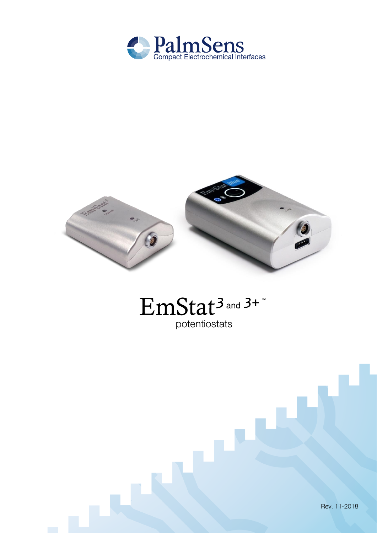



# EmStat<sup>3</sup> and 3+" potentiostats

Rev. 11-2018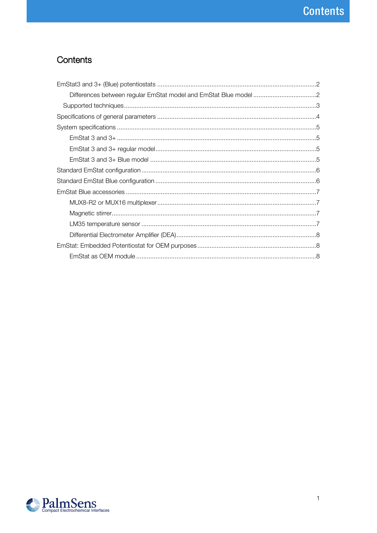# Contents

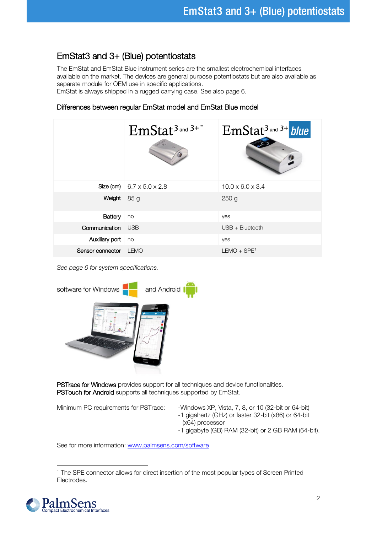### <span id="page-2-0"></span>EmStat3 and 3+ (Blue) potentiostats

The EmStat and EmStat Blue instrument series are the smallest electrochemical interfaces available on the market. The devices are general purpose potentiostats but are also available as separate module for OEM use in specific applications.

EmStat is always shipped in a rugged carrying case. See also page 6.

### <span id="page-2-1"></span>Differences between regular EmStat model and EmStat Blue model

|                  | $EmStat3$ and $3+$ <sup>n</sup>       | $EmStat3$ and $3+$ blue      |
|------------------|---------------------------------------|------------------------------|
|                  | Size (cm) $6.7 \times 5.0 \times 2.8$ | $10.0 \times 6.0 \times 3.4$ |
| Weight           | 85 g                                  | 250 <sub>g</sub>             |
| Battery          | no                                    | yes                          |
| Communication    | <b>USB</b>                            | USB + Bluetooth              |
| Auxiliary port   | no                                    | yes                          |
| Sensor connector | <b>LEMO</b>                           | $LEMO + SPE1$                |

See page 6 for system specifications.



PSTrace for Windows provides support for all techniques and device functionalities. PSTouch for Android supports all techniques supported by EmStat.

- Minimum PC requirements for PSTrace: Windows XP, Vista, 7, 8, or 10 (32-bit or 64-bit) -1 gigahertz (GHz) or faster 32-bit (x86) or 64-bit
	- (x64) processor
	- -1 gigabyte (GB) RAM (32-bit) or 2 GB RAM (64-bit).

See for more information: [www.palmsens.com/software](file:///C:/Users/Willem%20van%20Velzen/PalmSensCloud/Customer%20Inquiries/User%20InquiriesArchive/Descriptions/EmStat/www.palmsens.com/software)

l <sup>1</sup> The SPE connector allows for direct insertion of the most popular types of Screen Printed Electrodes.

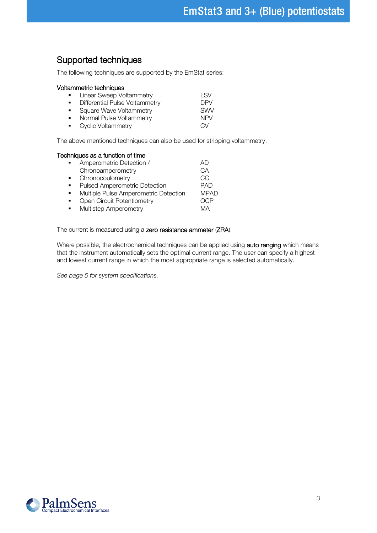### <span id="page-3-0"></span>Supported techniques

The following techniques are supported by the EmStat series:

#### Voltammetric techniques

| $\mathbf{r}$                | Linear Sweep Voltammetry       | I SV       |
|-----------------------------|--------------------------------|------------|
| $\blacksquare$              | Differential Pulse Voltammetry | DPV        |
| $\mathbf{u}$ , $\mathbf{u}$ | Square Wave Voltammetry        | <b>SWV</b> |
| $\mathbf{u}$ .              | Normal Pulse Voltammetry       | <b>NPV</b> |
|                             | • Cyclic Voltammetry           | CV         |

The above mentioned techniques can also be used for stripping voltammetry.

#### Techniques as a function of time

| Amperometric Detection /              | AI)         |
|---------------------------------------|-------------|
| Chronoamperometry                     | CА          |
| Chronocoulometry                      | CC          |
| Pulsed Amperometric Detection         | <b>PAD</b>  |
| Multiple Pulse Amperometric Detection | <b>MPAD</b> |
| Open Circuit Potentiometry            |             |
| Multistep Amperometry                 | MA          |
|                                       |             |

The current is measured using a zero resistance ammeter (ZRA).

Where possible, the electrochemical techniques can be applied using auto ranging which means that the instrument automatically sets the optimal current range. The user can specify a highest and lowest current range in which the most appropriate range is selected automatically.

See page 5 for system specifications.

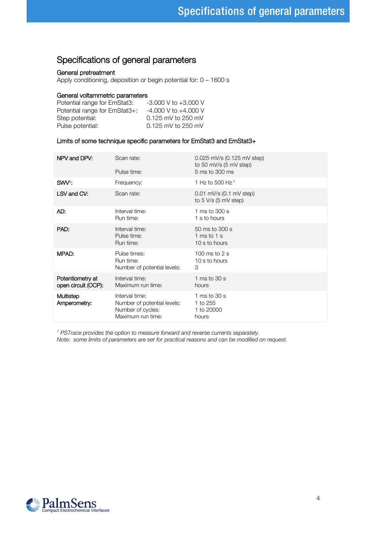### <span id="page-4-0"></span>Specifications of general parameters

#### General pretreatment

Apply conditioning, deposition or begin potential for: 0 – 1600 s

#### General voltammetric parameters

| $-3.000$ V to $+3.000$ V |
|--------------------------|
| $-4.000$ V to $+4.000$ V |
| 0.125 mV to 250 mV       |
| 0.125 mV to 250 mV       |
|                          |

#### Limits of some technique specific parameters for EmStat3 and EmStat3+

| NPV and DPV:                            | Scan rate:<br>Pulse time:                                                               | 0.025 mV/s (0.125 mV step)<br>to 50 mV/s (5 mV step)<br>5 ms to 300 ms |
|-----------------------------------------|-----------------------------------------------------------------------------------------|------------------------------------------------------------------------|
| SWV <sup>1</sup> :                      | Frequency:                                                                              | 1 Hz to 500 Hz <sup>1</sup>                                            |
| LSV and CV:                             | Scan rate:                                                                              | $0.01$ mV/s $(0.1$ mV step)<br>to $5$ V/s $(5$ mV step)                |
| AD:                                     | Interval time:<br>Run time:                                                             | 1 ms to 300 s<br>1 s to hours                                          |
| PAD:                                    | Interval time:<br>Pulse time:<br>Run time:                                              | 50 ms to 300 s<br>1 ms to 1 s<br>10 s to hours                         |
| MPAD:                                   | Pulse times:<br>Run time:<br>Number of potential levels:                                | 100 ms to $2s$<br>10 s to hours<br>3                                   |
| Potentiometry at<br>open circuit (OCP): | Interval time:<br>Maximum run time:                                                     | 1 ms to $30 s$<br>hours                                                |
| Multistep<br>Amperometry:               | Interval time:<br>Number of potential levels:<br>Number of cycles:<br>Maximum run time: | 1 ms to $30 s$<br>1 to 255<br>1 to 20000<br>hours                      |

<sup>1</sup> PSTrace provides the option to measure forward and reverse currents separately.

Note: some limits of parameters are set for practical reasons and can be modified on request.

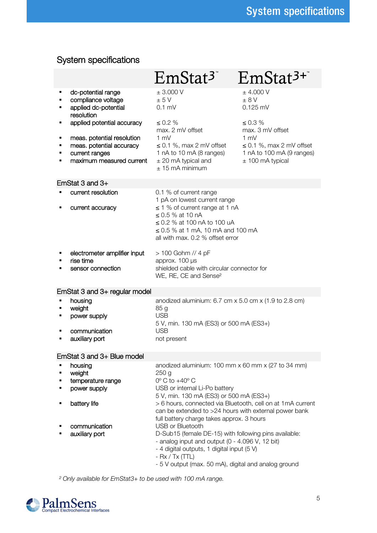## <span id="page-5-0"></span>System specifications

<span id="page-5-1"></span>

|   |                                                                                                      | $EmStat3$ <sup>*</sup>                                                                                                                                                                         | $EmStat^{3+}$                                                                                      |  |
|---|------------------------------------------------------------------------------------------------------|------------------------------------------------------------------------------------------------------------------------------------------------------------------------------------------------|----------------------------------------------------------------------------------------------------|--|
| ٠ | dc-potential range<br>compliance voltage<br>applied dc-potential<br>resolution                       | ± 3.000 V<br>± 5V<br>$0.1$ mV                                                                                                                                                                  | $±$ 4.000 V<br>± 8V<br>$0.125$ mV                                                                  |  |
|   | applied potential accuracy                                                                           | $\leq 0.2 \%$<br>max. 2 mV offset                                                                                                                                                              | $\leq 0.3 \%$<br>max. 3 mV offset                                                                  |  |
|   | meas. potential resolution<br>meas. potential accuracy<br>current ranges<br>maximum measured current | 1 mV<br>$\leq$ 0.1 %, max 2 mV offset<br>1 nA to 10 mA (8 ranges)<br>$±$ 20 mA typical and<br>$± 15$ mA minimum                                                                                | $1 \text{ mV}$<br>$\leq$ 0.1 %, max 2 mV offset<br>1 nA to 100 mA (9 ranges)<br>$±$ 100 mA typical |  |
|   | EmStat 3 and 3+                                                                                      |                                                                                                                                                                                                |                                                                                                    |  |
| ٠ | current resolution<br>current accuracy                                                               | 0.1 % of current range<br>1 pA on lowest current range<br>$\leq$ 1 % of current range at 1 nA                                                                                                  |                                                                                                    |  |
|   |                                                                                                      | ≤ 0.5 % at 10 nA<br>$\leq$ 0.2 % at 100 nA to 100 uA<br>$\leq$ 0.5 % at 1 mA, 10 mA and 100 mA<br>all with max. 0.2 % offset error                                                             |                                                                                                    |  |
|   | electrometer amplifier input<br>rise time<br>sensor connection                                       | > 100 Gohm // 4 pF<br>approx. 100 µs<br>shielded cable with circular connector for<br>WE, RE, CE and Sense <sup>2</sup>                                                                        |                                                                                                    |  |
|   | EmStat 3 and 3+ regular model                                                                        |                                                                                                                                                                                                |                                                                                                    |  |
| ٠ | housing<br>weight<br>power supply                                                                    | anodized aluminium: $6.7$ cm $x$ 5.0 cm $x$ (1.9 to 2.8 cm)<br>85 g<br>USB<br>5 V, min. 130 mA (ES3) or 500 mA (ES3+)                                                                          |                                                                                                    |  |
|   | communication<br>auxiliary port                                                                      | <b>USB</b><br>not present                                                                                                                                                                      |                                                                                                    |  |
|   | EmStat 3 and 3+ Blue model                                                                           |                                                                                                                                                                                                |                                                                                                    |  |
|   | housing<br>weight<br>temperature range<br>power supply                                               | anodized aluminium: 100 mm x 60 mm x (27 to 34 mm)<br>250 <sub>g</sub><br>$0^\circ$ C to $+40^\circ$ C<br>USB or internal Li-Po battery<br>5 V, min. 130 mA (ES3) or 500 mA (ES3+)             |                                                                                                    |  |
|   | battery life                                                                                         | > 6 hours, connected via Bluetooth, cell on at 1mA current<br>can be extended to >24 hours with external power bank<br>full battery charge takes approx. 3 hours                               |                                                                                                    |  |
|   | communication<br>auxiliary port                                                                      | USB or Bluetooth<br>D-Sub15 (female DE-15) with following pins available:<br>- analog input and output (0 - 4.096 V, 12 bit)<br>- 4 digital outputs, 1 digital input (5 V)<br>$-Rx / Tx (TTL)$ |                                                                                                    |  |

- 5 V output (max. 50 mA), digital and analog ground

<span id="page-5-3"></span><span id="page-5-2"></span>² Only available for EmStat3+ to be used with 100 mA range.

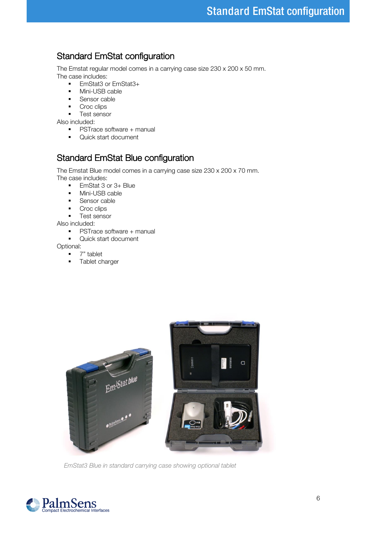### <span id="page-6-0"></span>Standard EmStat configuration

The Emstat regular model comes in a carrying case size 230 x 200 x 50 mm. The case includes:

- EmStat3 or EmStat3+
- **■** Mini-USB cable
- Sensor cable<br>■ Croc clins
- Croc clips
- Test sensor

Also included:

- PSTrace software + manual
- Quick start document

### <span id="page-6-1"></span>Standard EmStat Blue configuration

The Emstat Blue model comes in a carrying case size 230 x 200 x 70 mm.

The case includes:

- EmStat 3 or 3+ Blue
- **■** Mini-USB cable
- Sensor cable
- Croc clips
- Test sensor

Also included:

- PSTrace software + manual
- Quick start document

Optional:

- 7" tablet
- Tablet charger



EmStat3 Blue in standard carrying case showing optional tablet

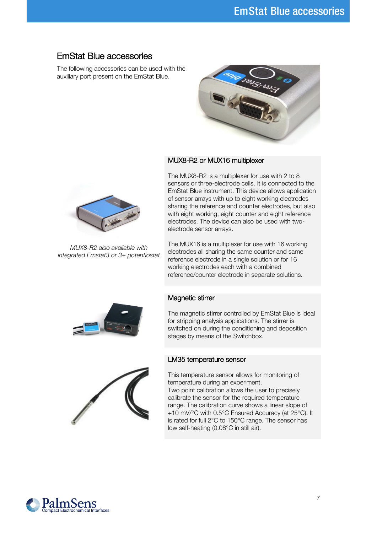### <span id="page-7-0"></span>EmStat Blue accessories

The following accessories can be used with the auxiliary port present on the EmStat Blue.





MUX8-R2 also available with integrated Emstat3 or 3+ potentiostat

#### <span id="page-7-1"></span>MUX8-R2 or MUX16 multiplexer

The MUX8-R2 is a multiplexer for use with 2 to 8 sensors or three-electrode cells. It is connected to the EmStat Blue instrument. This device allows application of sensor arrays with up to eight working electrodes sharing the reference and counter electrodes, but also with eight working, eight counter and eight reference electrodes. The device can also be used with twoelectrode sensor arrays.

The MUX16 is a multiplexer for use with 16 working electrodes all sharing the same counter and same reference electrode in a single solution or for 16 working electrodes each with a combined reference/counter electrode in separate solutions.

#### <span id="page-7-2"></span>Magnetic stirrer

The magnetic stirrer controlled by EmStat Blue is ideal for stripping analysis applications. The stirrer is switched on during the conditioning and deposition stages by means of the Switchbox.

#### <span id="page-7-3"></span>LM35 temperature sensor



This temperature sensor allows for monitoring of temperature during an experiment.

Two point calibration allows the user to precisely calibrate the sensor for the required temperature range. The calibration curve shows a linear slope of +10 mV/°C with 0.5°C Ensured Accuracy (at 25°C). It is rated for full 2°C to 150°C range. The sensor has low self-heating (0.08°C in still air).